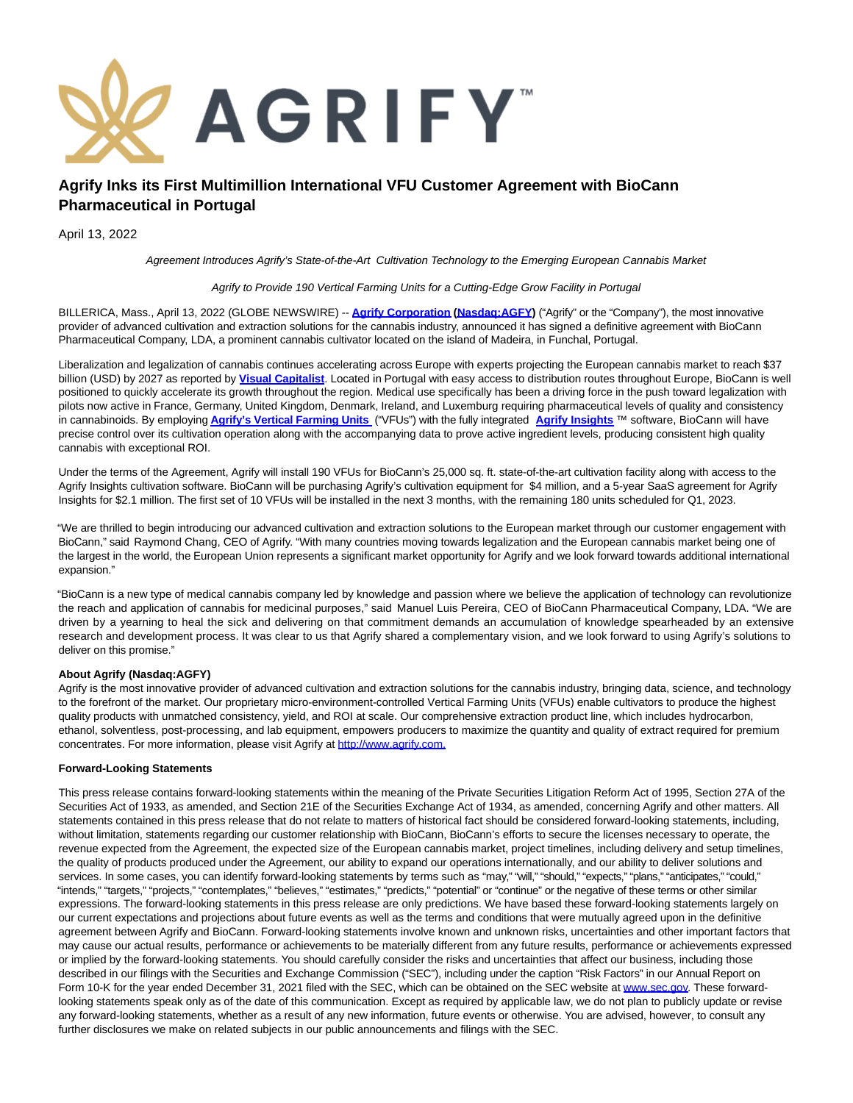

## **Agrify Inks its First Multimillion International VFU Customer Agreement with BioCann Pharmaceutical in Portugal**

April 13, 2022

Agreement Introduces Agrify's State-of-the-Art Cultivation Technology to the Emerging European Cannabis Market

Agrify to Provide 190 Vertical Farming Units for a Cutting-Edge Grow Facility in Portugal

BILLERICA, Mass., April 13, 2022 (GLOBE NEWSWIRE) -- **[Agrify Corporation](https://www.globenewswire.com/Tracker?data=Win3Uxa02HmyakWexYZEjm5FMXiBe3E7R2lEBeFQRAD0qr2oTI8ytnuOnSoWWCJNSC_QHNNUPzHiDa2M8d7DPw==) [\(Nasdaq:AGFY\)](https://www.globenewswire.com/Tracker?data=wZqIJsEkPmAesKHPs8LIxD956tGclxKVR8jjVD33zxOjeFXZyK9QJMSmfZlJfWUl6dmo-Ry0W7EOWTm6HuFRQF60Wroios3lSMNokBGPsnaaP6-YSBT0JU1bbEyai5yo)** ("Agrify" or the "Company"), the most innovative provider of advanced cultivation and extraction solutions for the cannabis industry, announced it has signed a definitive agreement with BioCann Pharmaceutical Company, LDA, a prominent cannabis cultivator located on the island of Madeira, in Funchal, Portugal.

Liberalization and legalization of cannabis continues accelerating across Europe with experts projecting the European cannabis market to reach \$37 billion (USD) by 2027 as reported by **[Visual Capitalist](https://www.globenewswire.com/Tracker?data=dv1cAoT5Nr2K2JamCGpHd-uC6lHGlZew6uYcs0ZqF2TJ6WOKzTwcxiWLeA4Hzl-0-ivaTmrquRYFExL3JnDDh2l9exRuWMs9omAmKhjIsjyEE6L5woq-JxXd4HhaUYfAaRTTXJ83N9PYDVnOSDP6Qto1aneOxsNANUrzMoXAUAI=)**. Located in Portugal with easy access to distribution routes throughout Europe, BioCann is well positioned to quickly accelerate its growth throughout the region. Medical use specifically has been a driving force in the push toward legalization with pilots now active in France, Germany, United Kingdom, Denmark, Ireland, and Luxemburg requiring pharmaceutical levels of quality and consistency in cannabinoids. By employing **[Agrify's Vertical Farming Units](https://www.globenewswire.com/Tracker?data=Win3Uxa02HmyakWexYZEjhMbkSP3xIgPOzNzbuXorND02cmFTg7GCoTNAo9INDAoomiXnfompid2S-Ej57MZBENX8TfDjQQtt1JSMN6JmwdnnLX0NMkyo1kG2BYYSpIq41lE6MnSfWdn8PebKpOmd8d5o0AnzwIgOPv87w93bPI=)** ("VFUs") with the fully integrated **[Agrify Insights](https://www.globenewswire.com/Tracker?data=Win3Uxa02HmyakWexYZEjgTKtH8pkhH2TEdNzGVbu6sZoN2Ce433cV0Sl_sf7izPIG1F2ho0Inq6XMQgWH3NHjVJryQQuyTZlwVIq9P6GNRxiPqCRHBzcyaskXrn5M-MDm-pObaz5BXRMELJTaojNA==)** ™ software, BioCann will have precise control over its cultivation operation along with the accompanying data to prove active ingredient levels, producing consistent high quality cannabis with exceptional ROI.

Under the terms of the Agreement, Agrify will install 190 VFUs for BioCann's 25,000 sq. ft. state-of-the-art cultivation facility along with access to the Agrify Insights cultivation software. BioCann will be purchasing Agrify's cultivation equipment for \$4 million, and a 5-year SaaS agreement for Agrify Insights for \$2.1 million. The first set of 10 VFUs will be installed in the next 3 months, with the remaining 180 units scheduled for Q1, 2023.

"We are thrilled to begin introducing our advanced cultivation and extraction solutions to the European market through our customer engagement with BioCann," said Raymond Chang, CEO of Agrify. "With many countries moving towards legalization and the European cannabis market being one of the largest in the world, the European Union represents a significant market opportunity for Agrify and we look forward towards additional international expansion."

"BioCann is a new type of medical cannabis company led by knowledge and passion where we believe the application of technology can revolutionize the reach and application of cannabis for medicinal purposes," said Manuel Luis Pereira, CEO of BioCann Pharmaceutical Company, LDA. "We are driven by a yearning to heal the sick and delivering on that commitment demands an accumulation of knowledge spearheaded by an extensive research and development process. It was clear to us that Agrify shared a complementary vision, and we look forward to using Agrify's solutions to deliver on this promise."

## **About Agrify (Nasdaq:AGFY)**

Agrify is the most innovative provider of advanced cultivation and extraction solutions for the cannabis industry, bringing data, science, and technology to the forefront of the market. Our proprietary micro-environment-controlled Vertical Farming Units (VFUs) enable cultivators to produce the highest quality products with unmatched consistency, yield, and ROI at scale. Our comprehensive extraction product line, which includes hydrocarbon, ethanol, solventless, post-processing, and lab equipment, empowers producers to maximize the quantity and quality of extract required for premium concentrates. For more information, please visit Agrify at [http://www.agrify.com.](https://www.globenewswire.com/Tracker?data=Ul-BlbtfsvhOf_exlQdqXzETO_qcLXiALX8eTo4axCMa8FUv3VhEm3FBGFKDAAKUXoNOQ4rNUIUL8V0J3qzTW1xqmJVB08aQ8Tfe6SAPIZY=)

## **Forward-Looking Statements**

This press release contains forward-looking statements within the meaning of the Private Securities Litigation Reform Act of 1995, Section 27A of the Securities Act of 1933, as amended, and Section 21E of the Securities Exchange Act of 1934, as amended, concerning Agrify and other matters. All statements contained in this press release that do not relate to matters of historical fact should be considered forward-looking statements, including, without limitation, statements regarding our customer relationship with BioCann, BioCann's efforts to secure the licenses necessary to operate, the revenue expected from the Agreement, the expected size of the European cannabis market, project timelines, including delivery and setup timelines, the quality of products produced under the Agreement, our ability to expand our operations internationally, and our ability to deliver solutions and services. In some cases, you can identify forward-looking statements by terms such as "may," "will," "should," "expects," "plans," "anticipates," "could," "intends," "targets," "projects," "contemplates," "believes," "estimates," "predicts," "potential" or "continue" or the negative of these terms or other similar expressions. The forward-looking statements in this press release are only predictions. We have based these forward-looking statements largely on our current expectations and projections about future events as well as the terms and conditions that were mutually agreed upon in the definitive agreement between Agrify and BioCann. Forward-looking statements involve known and unknown risks, uncertainties and other important factors that may cause our actual results, performance or achievements to be materially different from any future results, performance or achievements expressed or implied by the forward-looking statements. You should carefully consider the risks and uncertainties that affect our business, including those described in our filings with the Securities and Exchange Commission ("SEC"), including under the caption "Risk Factors" in our Annual Report on Form 10-K for the year ended December 31, 2021 filed with the SEC, which can be obtained on the SEC website at [www.sec.gov.](https://www.globenewswire.com/Tracker?data=7Z8j4iJkes-WjqzujVnh8fE6IgiEoDCSY77ZmOd2wE9pTVDZN0CYBHQd-zISmEZU6EPoFrOkAQ2uwNB2QwbBeg==) These forwardlooking statements speak only as of the date of this communication. Except as required by applicable law, we do not plan to publicly update or revise any forward-looking statements, whether as a result of any new information, future events or otherwise. You are advised, however, to consult any further disclosures we make on related subjects in our public announcements and filings with the SEC.